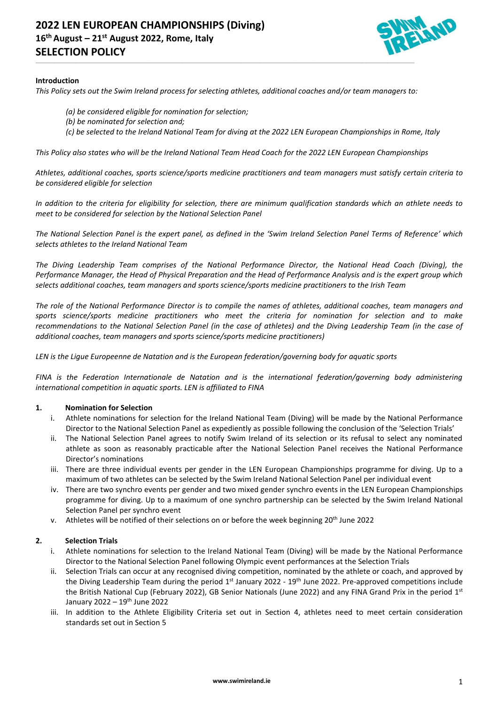

#### **Introduction**

*This Policy sets out the Swim Ireland process for selecting athletes, additional coaches and/or team managers to:*

\_\_\_\_\_\_\_\_\_\_\_\_\_\_\_\_\_\_\_\_\_\_\_\_\_\_\_\_\_\_\_\_\_\_\_\_\_\_\_\_\_\_\_\_\_\_\_\_\_\_\_\_\_\_\_\_\_\_\_\_\_\_\_\_\_\_\_\_\_\_\_\_\_\_\_\_\_\_\_\_\_\_\_\_\_\_\_\_\_\_\_\_\_\_\_\_\_\_\_\_\_\_\_\_\_\_\_\_\_\_\_\_\_\_\_\_\_\_\_\_\_\_\_\_\_\_\_\_\_\_\_\_\_\_\_\_\_\_\_\_\_\_\_\_\_\_\_\_\_\_\_\_\_\_\_\_\_\_\_\_\_\_\_\_\_\_\_\_\_\_\_\_\_\_\_\_\_\_\_\_\_

- *(a) be considered eligible for nomination for selection;*
- *(b) be nominated for selection and;*
- *(c) be selected to the Ireland National Team for diving at the 2022 LEN European Championships in Rome, Italy*

*This Policy also states who will be the Ireland National Team Head Coach for the 2022 LEN European Championships* 

*Athletes, additional coaches, sports science/sports medicine practitioners and team managers must satisfy certain criteria to be considered eligible for selection*

*In addition to the criteria for eligibility for selection, there are minimum qualification standards which an athlete needs to meet to be considered for selection by the National Selection Panel*

*The National Selection Panel is the expert panel, as defined in the 'Swim Ireland Selection Panel Terms of Reference' which selects athletes to the Ireland National Team*

*The Diving Leadership Team comprises of the National Performance Director, the National Head Coach (Diving), the Performance Manager, the Head of Physical Preparation and the Head of Performance Analysis and is the expert group which selects additional coaches, team managers and sports science/sports medicine practitioners to the Irish Team*

*The role of the National Performance Director is to compile the names of athletes, additional coaches, team managers and sports science/sports medicine practitioners who meet the criteria for nomination for selection and to make recommendations to the National Selection Panel (in the case of athletes) and the Diving Leadership Team (in the case of additional coaches, team managers and sports science/sports medicine practitioners)*

*LEN is the Ligue Europeenne de Natation and is the European federation/governing body for aquatic sports*

*FINA is the Federation Internationale de Natation and is the international federation/governing body administering international competition in aquatic sports. LEN is affiliated to FINA*

#### **1. Nomination for Selection**

- i. Athlete nominations for selection for the Ireland National Team (Diving) will be made by the National Performance Director to the National Selection Panel as expediently as possible following the conclusion of the 'Selection Trials'
- ii. The National Selection Panel agrees to notify Swim Ireland of its selection or its refusal to select any nominated athlete as soon as reasonably practicable after the National Selection Panel receives the National Performance Director's nominations
- iii. There are three individual events per gender in the LEN European Championships programme for diving. Up to a maximum of two athletes can be selected by the Swim Ireland National Selection Panel per individual event
- iv. There are two synchro events per gender and two mixed gender synchro events in the LEN European Championships programme for diving. Up to a maximum of one synchro partnership can be selected by the Swim Ireland National Selection Panel per synchro event
- v. Athletes will be notified of their selections on or before the week beginning 20th June 2022

#### **2. Selection Trials**

- i. Athlete nominations for selection to the Ireland National Team (Diving) will be made by the National Performance Director to the National Selection Panel following Olympic event performances at the Selection Trials
- ii. Selection Trials can occur at any recognised diving competition, nominated by the athlete or coach, and approved by the Diving Leadership Team during the period 1<sup>st</sup> January 2022 - 19<sup>th</sup> June 2022. Pre-approved competitions include the British National Cup (February 2022), GB Senior Nationals (June 2022) and any FINA Grand Prix in the period 1st January 2022 – 19<sup>th</sup> June 2022
- iii. In addition to the Athlete Eligibility Criteria set out in Section 4, athletes need to meet certain consideration standards set out in Section 5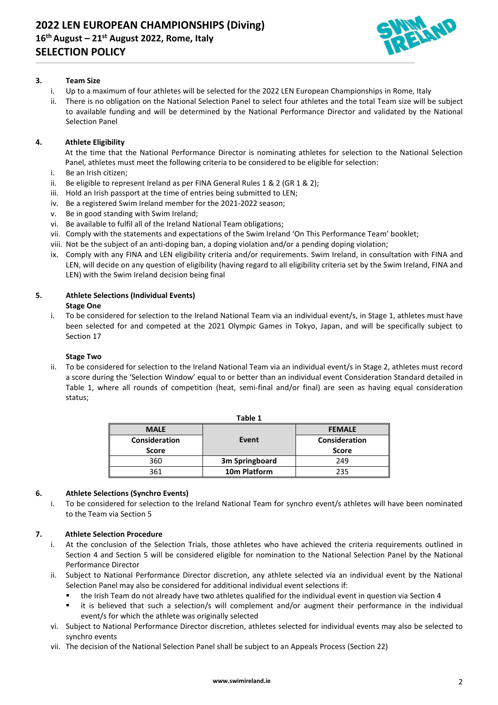

# **3. Team Size**

i. Up to a maximum of four athletes will be selected for the 2022 LEN European Championships in Rome, Italy

\_\_\_\_\_\_\_\_\_\_\_\_\_\_\_\_\_\_\_\_\_\_\_\_\_\_\_\_\_\_\_\_\_\_\_\_\_\_\_\_\_\_\_\_\_\_\_\_\_\_\_\_\_\_\_\_\_\_\_\_\_\_\_\_\_\_\_\_\_\_\_\_\_\_\_\_\_\_\_\_\_\_\_\_\_\_\_\_\_\_\_\_\_\_\_\_\_\_\_\_\_\_\_\_\_\_\_\_\_\_\_\_\_\_\_\_\_\_\_\_\_\_\_\_\_\_\_\_\_\_\_\_\_\_\_\_\_\_\_\_\_\_\_\_\_\_\_\_\_\_\_\_\_\_\_\_\_\_\_\_\_\_\_\_\_\_\_\_\_\_\_\_\_\_\_\_\_\_\_\_\_

ii. There is no obligation on the National Selection Panel to select four athletes and the total Team size will be subject to available funding and will be determined by the National Performance Director and validated by the National Selection Panel

# **4. Athlete Eligibility**

At the time that the National Performance Director is nominating athletes for selection to the National Selection Panel, athletes must meet the following criteria to be considered to be eligible for selection:

- i. Be an Irish citizen;
- ii. Be eligible to represent Ireland as per FINA General Rules  $1 \& 2$  (GR  $1 \& 2$ );
- iii. Hold an Irish passport at the time of entries being submitted to LEN;
- iv. Be a registered Swim Ireland member for the 2021-2022 season;
- v. Be in good standing with Swim Ireland;
- vi. Be available to fulfil all of the Ireland National Team obligations;
- vii. Comply with the statements and expectations of the Swim Ireland 'On This Performance Team' booklet;
- viii. Not be the subject of an anti-doping ban, a doping violation and/or a pending doping violation;
- ix. Comply with any FINA and LEN eligibility criteria and/or requirements. Swim Ireland, in consultation with FINA and LEN, will decide on any question of eligibility (having regard to all eligibility criteria set by the Swim Ireland, FINA and LEN) with the Swim Ireland decision being final

#### **5. Athlete Selections (Individual Events) Stage One**

i. To be considered for selection to the Ireland National Team via an individual event/s, in Stage 1, athletes must have been selected for and competed at the 2021 Olympic Games in Tokyo, Japan, and will be specifically subject to Section 17

# **Stage Two**

ii. To be considered for selection to the Ireland National Team via an individual event/s in Stage 2, athletes must record a score during the 'Selection Window' equal to or better than an individual event Consideration Standard detailed in Table 1, where all rounds of competition (heat, semi-final and/or final) are seen as having equal consideration status;

| IGNIC 1              |                |               |
|----------------------|----------------|---------------|
| <b>MALE</b>          |                | <b>FEMALE</b> |
| <b>Consideration</b> | Event          | Consideration |
| <b>Score</b>         |                | <b>Score</b>  |
| 360                  | 3m Springboard | 249           |
| 361                  | 10m Platform   | つつら           |

**Table 1**

#### **6. Athlete Selections (Synchro Events)**

i. To be considered for selection to the Ireland National Team for synchro event/s athletes will have been nominated to the Team via Section 5

# **7. Athlete Selection Procedure**

- i. At the conclusion of the Selection Trials, those athletes who have achieved the criteria requirements outlined in Section 4 and Section 5 will be considered eligible for nomination to the National Selection Panel by the National Performance Director
- ii. Subject to National Performance Director discretion, any athlete selected via an individual event by the National Selection Panel may also be considered for additional individual event selections if:
	- the Irish Team do not already have two athletes qualified for the individual event in question via Section 4
	- it is believed that such a selection/s will complement and/or augment their performance in the individual event/s for which the athlete was originally selected
- vi. Subject to National Performance Director discretion, athletes selected for individual events may also be selected to synchro events
- vii. The decision of the National Selection Panel shall be subject to an Appeals Process (Section 22)

#### **www.swimireland.ie** 2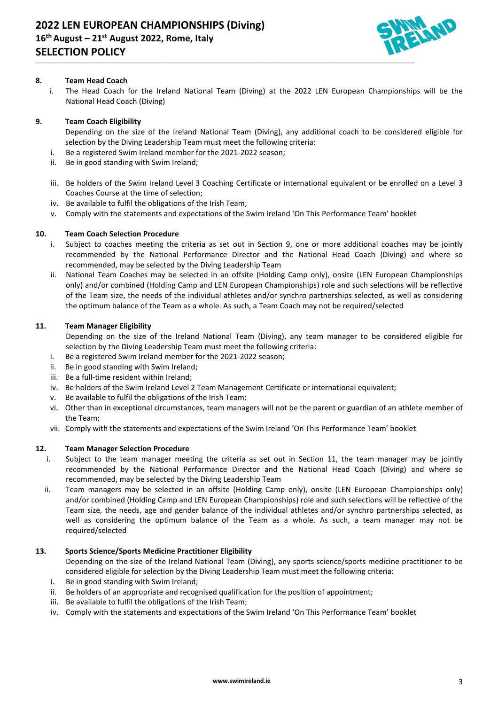

# **8. Team Head Coach**

i. The Head Coach for the Ireland National Team (Diving) at the 2022 LEN European Championships will be the National Head Coach (Diving)

# **9. Team Coach Eligibility**

- Depending on the size of the Ireland National Team (Diving), any additional coach to be considered eligible for selection by the Diving Leadership Team must meet the following criteria:
- i. Be a registered Swim Ireland member for the 2021-2022 season;
- ii. Be in good standing with Swim Ireland;
- iii. Be holders of the Swim Ireland Level 3 Coaching Certificate or international equivalent or be enrolled on a Level 3 Coaches Course at the time of selection;
- iv. Be available to fulfil the obligations of the Irish Team;
- v. Comply with the statements and expectations of the Swim Ireland 'On This Performance Team' booklet

\_\_\_\_\_\_\_\_\_\_\_\_\_\_\_\_\_\_\_\_\_\_\_\_\_\_\_\_\_\_\_\_\_\_\_\_\_\_\_\_\_\_\_\_\_\_\_\_\_\_\_\_\_\_\_\_\_\_\_\_\_\_\_\_\_\_\_\_\_\_\_\_\_\_\_\_\_\_\_\_\_\_\_\_\_\_\_\_\_\_\_\_\_\_\_\_\_\_\_\_\_\_\_\_\_\_\_\_\_\_\_\_\_\_\_\_\_\_\_\_\_\_\_\_\_\_\_\_\_\_\_\_\_\_\_\_\_\_\_\_\_\_\_\_\_\_\_\_\_\_\_\_\_\_\_\_\_\_\_\_\_\_\_\_\_\_\_\_\_\_\_\_\_\_\_\_\_\_\_\_\_

# **10. Team Coach Selection Procedure**

- i. Subject to coaches meeting the criteria as set out in Section 9, one or more additional coaches may be jointly recommended by the National Performance Director and the National Head Coach (Diving) and where so recommended, may be selected by the Diving Leadership Team
- ii. National Team Coaches may be selected in an offsite (Holding Camp only), onsite (LEN European Championships only) and/or combined (Holding Camp and LEN European Championships) role and such selections will be reflective of the Team size, the needs of the individual athletes and/or synchro partnerships selected, as well as considering the optimum balance of the Team as a whole. As such, a Team Coach may not be required/selected

#### **11. Team Manager Eligibility**

Depending on the size of the Ireland National Team (Diving), any team manager to be considered eligible for selection by the Diving Leadership Team must meet the following criteria:

- i. Be a registered Swim Ireland member for the 2021-2022 season;
- ii. Be in good standing with Swim Ireland;
- iii. Be a full-time resident within Ireland;
- iv. Be holders of the Swim Ireland Level 2 Team Management Certificate or international equivalent;
- v. Be available to fulfil the obligations of the Irish Team;
- vi. Other than in exceptional circumstances, team managers will not be the parent or guardian of an athlete member of the Team;
- vii. Comply with the statements and expectations of the Swim Ireland 'On This Performance Team' booklet

#### **12. Team Manager Selection Procedure**

- i. Subject to the team manager meeting the criteria as set out in Section 11, the team manager may be jointly recommended by the National Performance Director and the National Head Coach (Diving) and where so recommended, may be selected by the Diving Leadership Team
- ii. Team managers may be selected in an offsite (Holding Camp only), onsite (LEN European Championships only) and/or combined (Holding Camp and LEN European Championships) role and such selections will be reflective of the Team size, the needs, age and gender balance of the individual athletes and/or synchro partnerships selected, as well as considering the optimum balance of the Team as a whole. As such, a team manager may not be required/selected

#### **13. Sports Science/Sports Medicine Practitioner Eligibility**

Depending on the size of the Ireland National Team (Diving), any sports science/sports medicine practitioner to be considered eligible for selection by the Diving Leadership Team must meet the following criteria:

- i. Be in good standing with Swim Ireland;
- ii. Be holders of an appropriate and recognised qualification for the position of appointment;
- iii. Be available to fulfil the obligations of the Irish Team;
- iv. Comply with the statements and expectations of the Swim Ireland 'On This Performance Team' booklet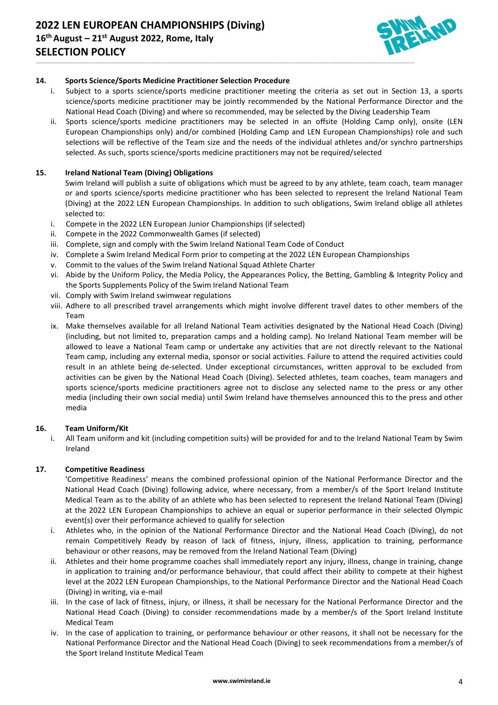

# **14. Sports Science/Sports Medicine Practitioner Selection Procedure**

i. Subject to a sports science/sports medicine practitioner meeting the criteria as set out in Section 13, a sports science/sports medicine practitioner may be jointly recommended by the National Performance Director and the National Head Coach (Diving) and where so recommended, may be selected by the Diving Leadership Team

\_\_\_\_\_\_\_\_\_\_\_\_\_\_\_\_\_\_\_\_\_\_\_\_\_\_\_\_\_\_\_\_\_\_\_\_\_\_\_\_\_\_\_\_\_\_\_\_\_\_\_\_\_\_\_\_\_\_\_\_\_\_\_\_\_\_\_\_\_\_\_\_\_\_\_\_\_\_\_\_\_\_\_\_\_\_\_\_\_\_\_\_\_\_\_\_\_\_\_\_\_\_\_\_\_\_\_\_\_\_\_\_\_\_\_\_\_\_\_\_\_\_\_\_\_\_\_\_\_\_\_\_\_\_\_\_\_\_\_\_\_\_\_\_\_\_\_\_\_\_\_\_\_\_\_\_\_\_\_\_\_\_\_\_\_\_\_\_\_\_\_\_\_\_\_\_\_\_\_\_\_

ii. Sports science/sports medicine practitioners may be selected in an offsite (Holding Camp only), onsite (LEN European Championships only) and/or combined (Holding Camp and LEN European Championships) role and such selections will be reflective of the Team size and the needs of the individual athletes and/or synchro partnerships selected. As such, sports science/sports medicine practitioners may not be required/selected

# **15. Ireland National Team (Diving) Obligations**

Swim Ireland will publish a suite of obligations which must be agreed to by any athlete, team coach, team manager or and sports science/sports medicine practitioner who has been selected to represent the Ireland National Team (Diving) at the 2022 LEN European Championships. In addition to such obligations, Swim Ireland oblige all athletes selected to:

- i. Compete in the 2022 LEN European Junior Championships (if selected)
- ii. Compete in the 2022 Commonwealth Games (if selected)
- iii. Complete, sign and comply with the Swim Ireland National Team Code of Conduct
- iv. Complete a Swim Ireland Medical Form prior to competing at the 2022 LEN European Championships
- v. Commit to the values of the Swim Ireland National Squad Athlete Charter
- vi. Abide by the Uniform Policy, the Media Policy, the Appearances Policy, the Betting, Gambling & Integrity Policy and the Sports Supplements Policy of the Swim Ireland National Team
- vii. Comply with Swim Ireland swimwear regulations
- viii. Adhere to all prescribed travel arrangements which might involve different travel dates to other members of the Team
- ix. Make themselves available for all Ireland National Team activities designated by the National Head Coach (Diving) (including, but not limited to, preparation camps and a holding camp). No Ireland National Team member will be allowed to leave a National Team camp or undertake any activities that are not directly relevant to the National Team camp, including any external media, sponsor or social activities. Failure to attend the required activities could result in an athlete being de-selected. Under exceptional circumstances, written approval to be excluded from activities can be given by the National Head Coach (Diving). Selected athletes, team coaches, team managers and sports science/sports medicine practitioners agree not to disclose any selected name to the press or any other media (including their own social media) until Swim Ireland have themselves announced this to the press and other media

#### **16. Team Uniform/Kit**

i. All Team uniform and kit (including competition suits) will be provided for and to the Ireland National Team by Swim Ireland

#### **17. Competitive Readiness**

'Competitive Readiness' means the combined professional opinion of the National Performance Director and the National Head Coach (Diving) following advice, where necessary, from a member/s of the Sport Ireland Institute Medical Team as to the ability of an athlete who has been selected to represent the Ireland National Team (Diving) at the 2022 LEN European Championships to achieve an equal or superior performance in their selected Olympic event(s) over their performance achieved to qualify for selection

- i. Athletes who, in the opinion of the National Performance Director and the National Head Coach (Diving), do not remain Competitively Ready by reason of lack of fitness, injury, illness, application to training, performance behaviour or other reasons, may be removed from the Ireland National Team (Diving)
- ii. Athletes and their home programme coaches shall immediately report any injury, illness, change in training, change in application to training and/or performance behaviour, that could affect their ability to compete at their highest level at the 2022 LEN European Championships, to the National Performance Director and the National Head Coach (Diving) in writing, via e-mail
- iii. In the case of lack of fitness, injury, or illness, it shall be necessary for the National Performance Director and the National Head Coach (Diving) to consider recommendations made by a member/s of the Sport Ireland Institute Medical Team
- iv. In the case of application to training, or performance behaviour or other reasons, it shall not be necessary for the National Performance Director and the National Head Coach (Diving) to seek recommendations from a member/s of the Sport Ireland Institute Medical Team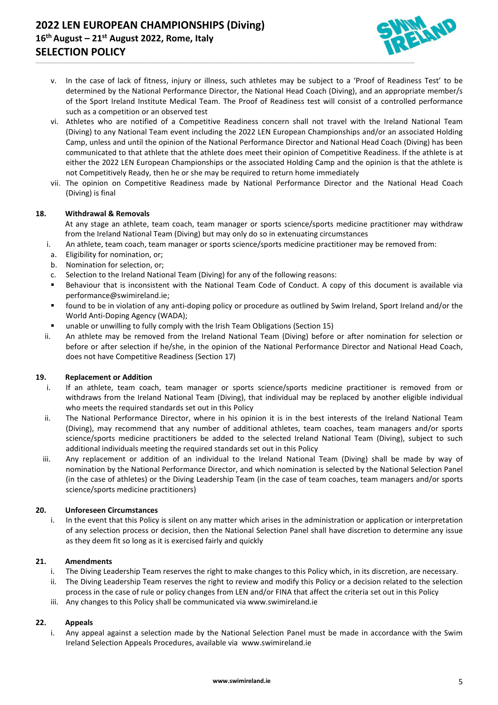# **2022 LEN EUROPEAN CHAMPIONSHIPS (Diving) 16 th August – 21st August 2022, Rome, Italy SELECTION POLICY**



v. In the case of lack of fitness, injury or illness, such athletes may be subject to a 'Proof of Readiness Test' to be determined by the National Performance Director, the National Head Coach (Diving), and an appropriate member/s of the Sport Ireland Institute Medical Team. The Proof of Readiness test will consist of a controlled performance such as a competition or an observed test

\_\_\_\_\_\_\_\_\_\_\_\_\_\_\_\_\_\_\_\_\_\_\_\_\_\_\_\_\_\_\_\_\_\_\_\_\_\_\_\_\_\_\_\_\_\_\_\_\_\_\_\_\_\_\_\_\_\_\_\_\_\_\_\_\_\_\_\_\_\_\_\_\_\_\_\_\_\_\_\_\_\_\_\_\_\_\_\_\_\_\_\_\_\_\_\_\_\_\_\_\_\_\_\_\_\_\_\_\_\_\_\_\_\_\_\_\_\_\_\_\_\_\_\_\_\_\_\_\_\_\_\_\_\_\_\_\_\_\_\_\_\_\_\_\_\_\_\_\_\_\_\_\_\_\_\_\_\_\_\_\_\_\_\_\_\_\_\_\_\_\_\_\_\_\_\_\_\_\_\_\_

- vi. Athletes who are notified of a Competitive Readiness concern shall not travel with the Ireland National Team (Diving) to any National Team event including the 2022 LEN European Championships and/or an associated Holding Camp, unless and until the opinion of the National Performance Director and National Head Coach (Diving) has been communicated to that athlete that the athlete does meet their opinion of Competitive Readiness. If the athlete is at either the 2022 LEN European Championships or the associated Holding Camp and the opinion is that the athlete is not Competitively Ready, then he or she may be required to return home immediately
- vii. The opinion on Competitive Readiness made by National Performance Director and the National Head Coach (Diving) is final

#### **18. Withdrawal & Removals**

At any stage an athlete, team coach, team manager or sports science/sports medicine practitioner may withdraw from the Ireland National Team (Diving) but may only do so in extenuating circumstances

- i. An athlete, team coach, team manager or sports science/sports medicine practitioner may be removed from:
- a. Eligibility for nomination, or;
- b. Nomination for selection, or;
- c. Selection to the Ireland National Team (Diving) for any of the following reasons:
- Behaviour that is inconsistent with the National Team Code of Conduct. A copy of this document is available via [performance@swimireland.ie;](mailto:performance@swimireland.ie)
- found to be in violation of any anti-doping policy or procedure as outlined by Swim Ireland, Sport Ireland and/or the World Anti-Doping Agency (WADA);
- unable or unwilling to fully comply with the Irish Team Obligations (Section 15)
- ii. An athlete may be removed from the Ireland National Team (Diving) before or after nomination for selection or before or after selection if he/she, in the opinion of the National Performance Director and National Head Coach, does not have Competitive Readiness (Section 17)

#### **19. Replacement or Addition**

- i. If an athlete, team coach, team manager or sports science/sports medicine practitioner is removed from or withdraws from the Ireland National Team (Diving), that individual may be replaced by another eligible individual who meets the required standards set out in this Policy
- ii. The National Performance Director, where in his opinion it is in the best interests of the Ireland National Team (Diving), may recommend that any number of additional athletes, team coaches, team managers and/or sports science/sports medicine practitioners be added to the selected Ireland National Team (Diving), subject to such additional individuals meeting the required standards set out in this Policy
- iii. Any replacement or addition of an individual to the Ireland National Team (Diving) shall be made by way of nomination by the National Performance Director, and which nomination is selected by the National Selection Panel (in the case of athletes) or the Diving Leadership Team (in the case of team coaches, team managers and/or sports science/sports medicine practitioners)

#### **20. Unforeseen Circumstances**

i. In the event that this Policy is silent on any matter which arises in the administration or application or interpretation of any selection process or decision, then the National Selection Panel shall have discretion to determine any issue as they deem fit so long as it is exercised fairly and quickly

#### **21. Amendments**

- i. The Diving Leadership Team reserves the right to make changes to this Policy which, in its discretion, are necessary.
- ii. The Diving Leadership Team reserves the right to review and modify this Policy or a decision related to the selection process in the case of rule or policy changes from LEN and/or FINA that affect the criteria set out in this Policy
- iii. Any changes to this Policy shall be communicated via [www.swimireland.ie](http://www.swimireland.ie/)

#### **22. Appeals**

i. Any appeal against a selection made by the National Selection Panel must be made in accordance with the Swim Ireland Selection Appeals Procedures, available via [www.swimireland.ie](http://www.swimireland.ie/)